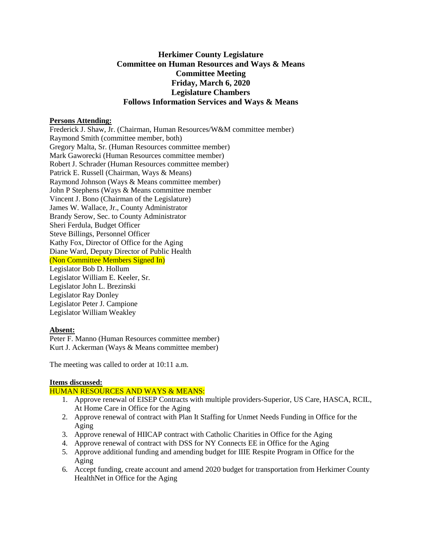# **Herkimer County Legislature Committee on Human Resources and Ways & Means Committee Meeting Friday, March 6, 2020 Legislature Chambers Follows Information Services and Ways & Means**

### **Persons Attending:**

Frederick J. Shaw, Jr. (Chairman, Human Resources/W&M committee member) Raymond Smith (committee member, both) Gregory Malta, Sr. (Human Resources committee member) Mark Gaworecki (Human Resources committee member) Robert J. Schrader (Human Resources committee member) Patrick E. Russell (Chairman, Ways & Means) Raymond Johnson (Ways & Means committee member) John P Stephens (Ways & Means committee member Vincent J. Bono (Chairman of the Legislature) James W. Wallace, Jr., County Administrator Brandy Serow, Sec. to County Administrator Sheri Ferdula, Budget Officer Steve Billings, Personnel Officer Kathy Fox, Director of Office for the Aging Diane Ward, Deputy Director of Public Health (Non Committee Members Signed In) Legislator Bob D. Hollum Legislator William E. Keeler, Sr. Legislator John L. Brezinski Legislator Ray Donley Legislator Peter J. Campione Legislator William Weakley

## **Absent:**

Peter F. Manno (Human Resources committee member) Kurt J. Ackerman (Ways & Means committee member)

The meeting was called to order at 10:11 a.m.

# **Items discussed:**

## HUMAN RESOURCES AND WAYS & MEANS:

- 1. Approve renewal of EISEP Contracts with multiple providers-Superior, US Care, HASCA, RCIL, At Home Care in Office for the Aging
- 2. Approve renewal of contract with Plan It Staffing for Unmet Needs Funding in Office for the Aging
- 3. Approve renewal of HIICAP contract with Catholic Charities in Office for the Aging
- 4. Approve renewal of contract with DSS for NY Connects EE in Office for the Aging
- 5. Approve additional funding and amending budget for IIIE Respite Program in Office for the Aging
- 6. Accept funding, create account and amend 2020 budget for transportation from Herkimer County HealthNet in Office for the Aging